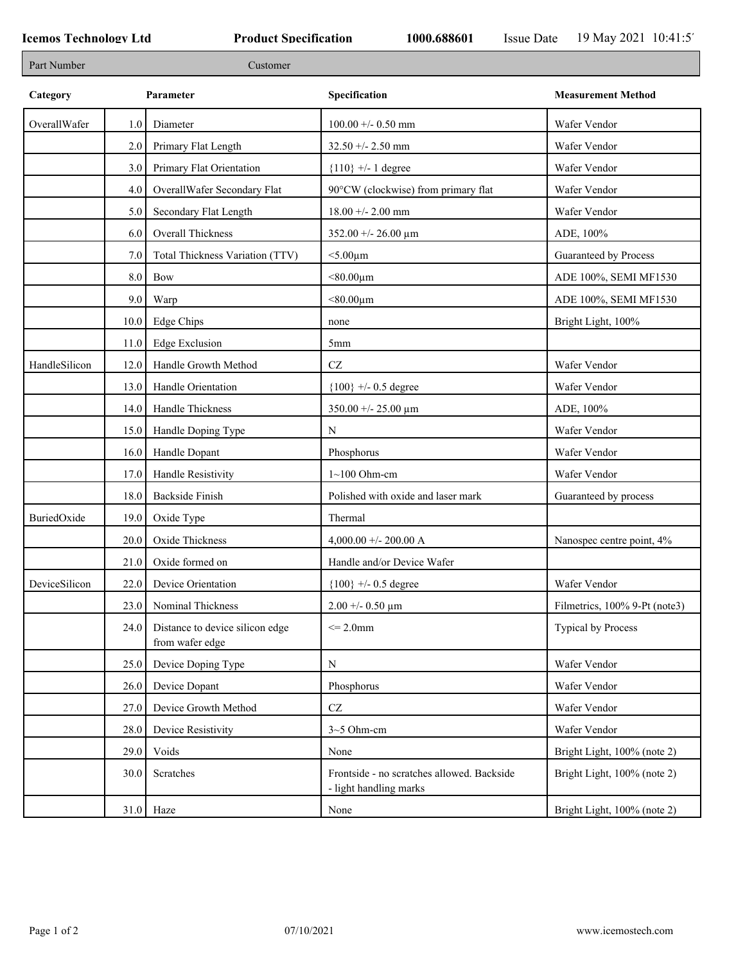| Part Number   |         | Customer                                           |                                                                      |                               |
|---------------|---------|----------------------------------------------------|----------------------------------------------------------------------|-------------------------------|
| Category      |         | Parameter                                          | Specification                                                        | <b>Measurement Method</b>     |
| OverallWafer  | 1.0     | Diameter                                           | $100.00 + - 0.50$ mm                                                 | Wafer Vendor                  |
|               | 2.0     | Primary Flat Length                                | $32.50 + - 2.50$ mm                                                  | Wafer Vendor                  |
|               | 3.0     | Primary Flat Orientation                           | ${110}$ +/- 1 degree                                                 | Wafer Vendor                  |
|               | 4.0     | OverallWafer Secondary Flat                        | 90°CW (clockwise) from primary flat                                  | Wafer Vendor                  |
|               | 5.0     | Secondary Flat Length                              | $18.00 +/- 2.00$ mm                                                  | Wafer Vendor                  |
|               | 6.0     | <b>Overall Thickness</b>                           | $352.00 + - 26.00 \mu m$                                             | ADE, 100%                     |
|               | 7.0     | Total Thickness Variation (TTV)                    | $<$ 5.00 $\mu$ m                                                     | Guaranteed by Process         |
|               | $8.0\,$ | Bow                                                | $< 80.00 \mu m$                                                      | ADE 100%, SEMI MF1530         |
|               | 9.0     | Warp                                               | $< 80.00 \mu m$                                                      | ADE 100%, SEMI MF1530         |
|               | 10.0    | Edge Chips                                         | none                                                                 | Bright Light, 100%            |
|               | 11.0    | <b>Edge Exclusion</b>                              | 5 <sub>mm</sub>                                                      |                               |
| HandleSilicon | 12.0    | Handle Growth Method                               | $\operatorname{CZ}$                                                  | Wafer Vendor                  |
|               | 13.0    | Handle Orientation                                 | ${100}$ +/- 0.5 degree                                               | Wafer Vendor                  |
|               | 14.0    | Handle Thickness                                   | $350.00 + - 25.00 \mu m$                                             | ADE, 100%                     |
|               | 15.0    | Handle Doping Type                                 | N                                                                    | Wafer Vendor                  |
|               | 16.0    | Handle Dopant                                      | Phosphorus                                                           | Wafer Vendor                  |
|               | 17.0    | Handle Resistivity                                 | $1~100$ Ohm-cm                                                       | Wafer Vendor                  |
|               | 18.0    | <b>Backside Finish</b>                             | Polished with oxide and laser mark                                   | Guaranteed by process         |
| BuriedOxide   | 19.0    | Oxide Type                                         | Thermal                                                              |                               |
|               | 20.0    | Oxide Thickness                                    | 4,000.00 +/- 200.00 A                                                | Nanospec centre point, 4%     |
|               | 21.0    | Oxide formed on                                    | Handle and/or Device Wafer                                           |                               |
| DeviceSilicon | 22.0    | Device Orientation                                 | ${100}$ +/- 0.5 degree                                               | Wafer Vendor                  |
|               | 23.0    | Nominal Thickness                                  | $2.00 + 0.50 \mu m$                                                  | Filmetrics, 100% 9-Pt (note3) |
|               | 24.0    | Distance to device silicon edge<br>from wafer edge | $\leq$ 2.0mm                                                         | <b>Typical by Process</b>     |
|               | 25.0    | Device Doping Type                                 | ${\bf N}$                                                            | Wafer Vendor                  |
|               | 26.0    | Device Dopant                                      | Phosphorus                                                           | Wafer Vendor                  |
|               | 27.0    | Device Growth Method                               | $\operatorname{CZ}$                                                  | Wafer Vendor                  |
|               | 28.0    | Device Resistivity                                 | $3-5$ Ohm-cm                                                         | Wafer Vendor                  |
|               | 29.0    | Voids                                              | None                                                                 | Bright Light, 100% (note 2)   |
|               | 30.0    | Scratches                                          | Frontside - no scratches allowed. Backside<br>- light handling marks | Bright Light, 100% (note 2)   |
|               |         | $31.0$ Haze                                        | None                                                                 | Bright Light, 100% (note 2)   |
|               |         |                                                    |                                                                      |                               |